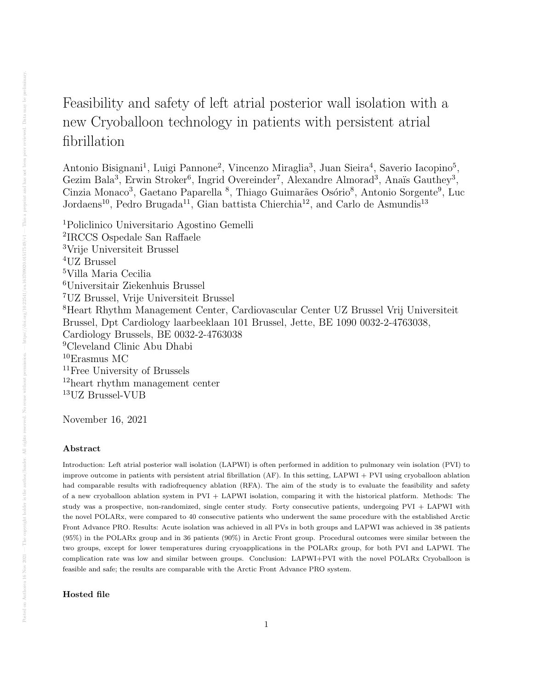## Feasibility and safety of left atrial posterior wall isolation with a new Cryoballoon technology in patients with persistent atrial fibrillation

Antonio Bisignani<sup>1</sup>, Luigi Pannone<sup>2</sup>, Vincenzo Miraglia<sup>3</sup>, Juan Sieira<sup>4</sup>, Saverio Iacopino<sup>5</sup>, Gezim Bala<sup>3</sup>, Erwin Stroker<sup>6</sup>, Ingrid Overeinder<sup>7</sup>, Alexandre Almorad<sup>3</sup>, Anaïs Gauthey<sup>3</sup>, Cinzia Monaco<sup>3</sup>, Gaetano Paparella <sup>8</sup>, Thiago Guimarães Osório<sup>8</sup>, Antonio Sorgente<sup>9</sup>, Luc Jordaens<sup>10</sup>, Pedro Brugada<sup>11</sup>, Gian battista Chierchia<sup>12</sup>, and Carlo de Asmundis<sup>13</sup>

Policlinico Universitario Agostino Gemelli IRCCS Ospedale San Raffaele Vrije Universiteit Brussel UZ Brussel Villa Maria Cecilia Universitair Ziekenhuis Brussel UZ Brussel, Vrije Universiteit Brussel Heart Rhythm Management Center, Cardiovascular Center UZ Brussel Vrij Universiteit Brussel, Dpt Cardiology laarbeeklaan 101 Brussel, Jette, BE 1090 0032-2-4763038, Cardiology Brussels, BE 0032-2-4763038 Cleveland Clinic Abu Dhabi Erasmus MC Free University of Brussels heart rhythm management center UZ Brussel-VUB

November 16, 2021

## Abstract

Introduction: Left atrial posterior wall isolation (LAPWI) is often performed in addition to pulmonary vein isolation (PVI) to improve outcome in patients with persistent atrial fibrillation (AF). In this setting, LAPWI + PVI using cryoballoon ablation had comparable results with radiofrequency ablation (RFA). The aim of the study is to evaluate the feasibility and safety of a new cryoballoon ablation system in PVI + LAPWI isolation, comparing it with the historical platform. Methods: The study was a prospective, non-randomized, single center study. Forty consecutive patients, undergoing PVI + LAPWI with the novel POLARx, were compared to 40 consecutive patients who underwent the same procedure with the established Arctic Front Advance PRO. Results: Acute isolation was achieved in all PVs in both groups and LAPWI was achieved in 38 patients (95%) in the POLARx group and in 36 patients (90%) in Arctic Front group. Procedural outcomes were similar between the two groups, except for lower temperatures during cryoapplications in the POLARx group, for both PVI and LAPWI. The complication rate was low and similar between groups. Conclusion: LAPWI+PVI with the novel POLARx Cryoballoon is feasible and safe; the results are comparable with the Arctic Front Advance PRO system.

Hosted file